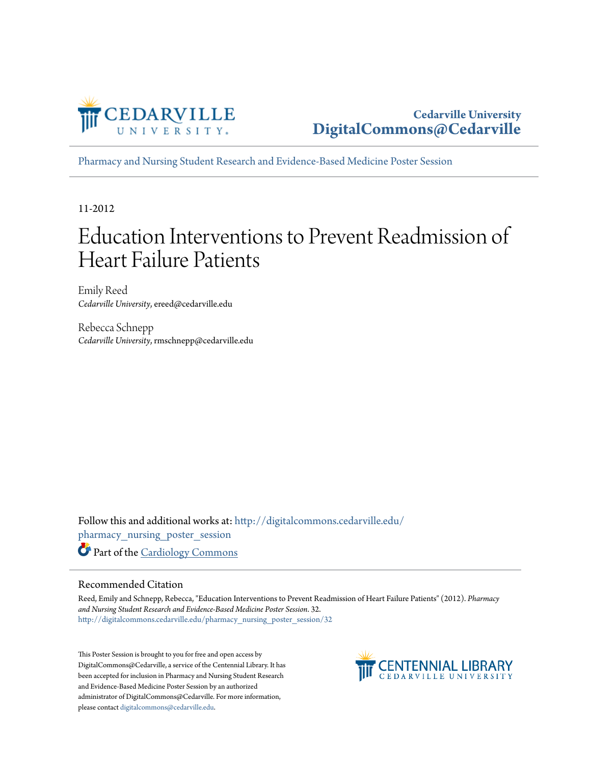

**Cedarville University [DigitalCommons@Cedarville](http://digitalcommons.cedarville.edu?utm_source=digitalcommons.cedarville.edu%2Fpharmacy_nursing_poster_session%2F32&utm_medium=PDF&utm_campaign=PDFCoverPages)**

[Pharmacy and Nursing Student Research and Evidence-Based Medicine Poster Session](http://digitalcommons.cedarville.edu/pharmacy_nursing_poster_session?utm_source=digitalcommons.cedarville.edu%2Fpharmacy_nursing_poster_session%2F32&utm_medium=PDF&utm_campaign=PDFCoverPages)

11-2012

#### Education Interventions to Prevent Readmission of Heart Failure Patients

Emily Reed *Cedarville University*, ereed@cedarville.edu

Rebecca Schnepp *Cedarville University*, rmschnepp@cedarville.edu

Follow this and additional works at: [http://digitalcommons.cedarville.edu/](http://digitalcommons.cedarville.edu/pharmacy_nursing_poster_session?utm_source=digitalcommons.cedarville.edu%2Fpharmacy_nursing_poster_session%2F32&utm_medium=PDF&utm_campaign=PDFCoverPages) [pharmacy\\_nursing\\_poster\\_session](http://digitalcommons.cedarville.edu/pharmacy_nursing_poster_session?utm_source=digitalcommons.cedarville.edu%2Fpharmacy_nursing_poster_session%2F32&utm_medium=PDF&utm_campaign=PDFCoverPages) Part of the [Cardiology Commons](http://network.bepress.com/hgg/discipline/683?utm_source=digitalcommons.cedarville.edu%2Fpharmacy_nursing_poster_session%2F32&utm_medium=PDF&utm_campaign=PDFCoverPages)

#### Recommended Citation

Reed, Emily and Schnepp, Rebecca, "Education Interventions to Prevent Readmission of Heart Failure Patients" (2012). *Pharmacy and Nursing Student Research and Evidence-Based Medicine Poster Session*. 32. [http://digitalcommons.cedarville.edu/pharmacy\\_nursing\\_poster\\_session/32](http://digitalcommons.cedarville.edu/pharmacy_nursing_poster_session/32?utm_source=digitalcommons.cedarville.edu%2Fpharmacy_nursing_poster_session%2F32&utm_medium=PDF&utm_campaign=PDFCoverPages)

This Poster Session is brought to you for free and open access by DigitalCommons@Cedarville, a service of the Centennial Library. It has been accepted for inclusion in Pharmacy and Nursing Student Research and Evidence-Based Medicine Poster Session by an authorized administrator of DigitalCommons@Cedarville. For more information, please contact [digitalcommons@cedarville.edu.](mailto:digitalcommons@cedarville.edu)